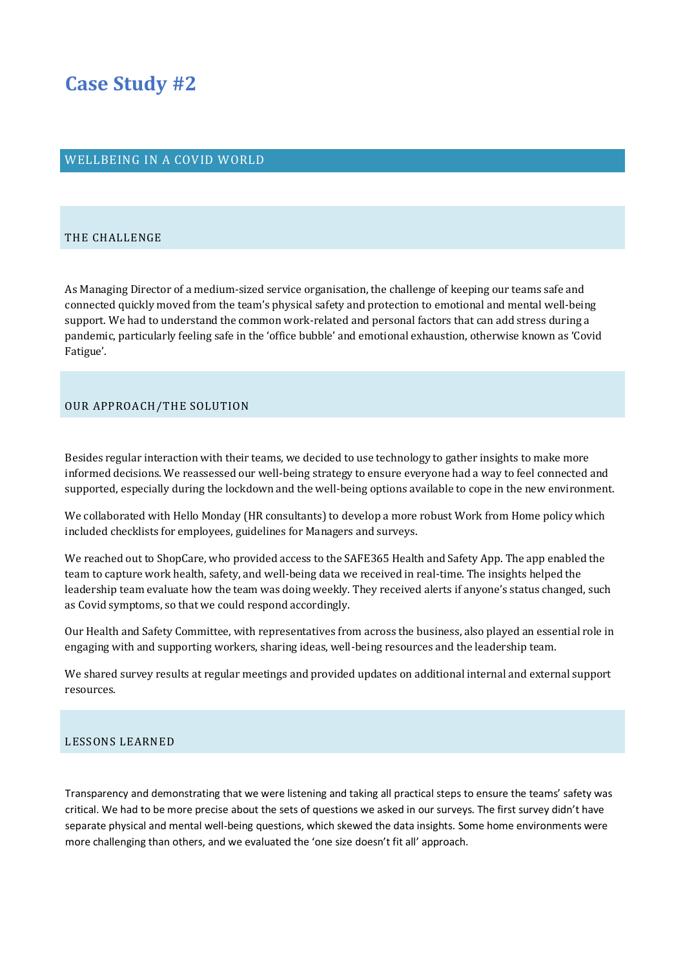# **Case Study #2**

## WELLBEING IN A COVID WORLD

#### THE CHALLENGE

As Managing Director of a medium-sized service organisation, the challenge of keeping our teams safe and connected quickly moved from the team's physical safety and protection to emotional and mental well-being support. We had to understand the common work-related and personal factors that can add stress during a pandemic, particularly feeling safe in the 'office bubble' and emotional exhaustion, otherwise known as 'Covid Fatigue'.

### OUR APPROACH/THE SOLUTION

Besides regular interaction with their teams, we decided to use technology to gather insights to make more informed decisions. We reassessed our well-being strategy to ensure everyone had a way to feel connected and supported, especially during the lockdown and the well-being options available to cope in the new environment.

We collaborated with Hello Monday (HR consultants) to develop a more robust Work from Home policy which included checklists for employees, guidelines for Managers and surveys.

We reached out to ShopCare, who provided access to the SAFE365 Health and Safety App. The app enabled the team to capture work health, safety, and well-being data we received in real-time. The insights helped the leadership team evaluate how the team was doing weekly. They received alerts if anyone's status changed, such as Covid symptoms, so that we could respond accordingly.

Our Health and Safety Committee, with representatives from across the business, also played an essential role in engaging with and supporting workers, sharing ideas, well-being resources and the leadership team.

We shared survey results at regular meetings and provided updates on additional internal and external support resources.

#### LESSONS LEARNED

Transparency and demonstrating that we were listening and taking all practical steps to ensure the teams' safety was critical. We had to be more precise about the sets of questions we asked in our surveys. The first survey didn't have separate physical and mental well-being questions, which skewed the data insights. Some home environments were more challenging than others, and we evaluated the 'one size doesn't fit all' approach.